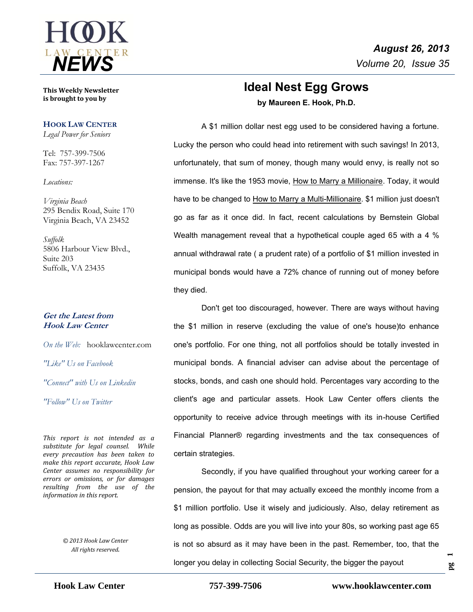

**This Weekly Newsletter is brought to you by** 

### **HOOK LAW CENTER**

*Legal Power for Seniors*

Tel: 757-399-7506 Fax: 757-397-1267

*Locations:*

*Virginia Beach* 295 Bendix Road, Suite 170 Virginia Beach, VA 23452

*Suffolk* 5806 Harbour View Blvd., Suite 203 Suffolk, VA 23435

### **Get the Latest from Hook Law Center**

*On the Web:* [hooklawcenter.com](http://www.hooklawcenter.com/)

*"Like" Us on Facebook*

*"Connect" with Us on Linkedin*

*NEWS "Follow" Us on Twitter*

*This report is not intended as a substitute for legal counsel. While every precaution has been taken to make this report accurate, Hook Law Center assumes no responsibility for errors or omissions, or for damages resulting from the use of the information in this report.*

> *© 2013 Hook Law Center All rights reserved.*

# **Ideal Nest Egg Grows by Maureen E. Hook, Ph.D.**

A \$1 million dollar nest egg used to be considered having a fortune. Lucky the person who could head into retirement with such savings! In 2013, unfortunately, that sum of money, though many would envy, is really not so immense. It's like the 1953 movie, How to Marry a Millionaire. Today, it would have to be changed to How to Marry a Multi-Millionaire. \$1 million just doesn't go as far as it once did. In fact, recent calculations by Bernstein Global Wealth management reveal that a hypothetical couple aged 65 with a 4 % annual withdrawal rate ( a prudent rate) of a portfolio of \$1 million invested in municipal bonds would have a 72% chance of running out of money before they died.

Don't get too discouraged, however. There are ways without having the \$1 million in reserve (excluding the value of one's house)to enhance one's portfolio. For one thing, not all portfolios should be totally invested in municipal bonds. A financial adviser can advise about the percentage of stocks, bonds, and cash one should hold. Percentages vary according to the client's age and particular assets. Hook Law Center offers clients the opportunity to receive advice through meetings with its in-house Certified Financial Planner® regarding investments and the tax consequences of certain strategies.

Secondly, if you have qualified throughout your working career for a pension, the payout for that may actually exceed the monthly income from a \$1 million portfolio. Use it wisely and judiciously. Also, delay retirement as long as possible. Odds are you will live into your 80s, so working past age 65 is not so absurd as it may have been in the past. Remember, too, that the longer you delay in collecting Social Security, the bigger the payout

**pg 1**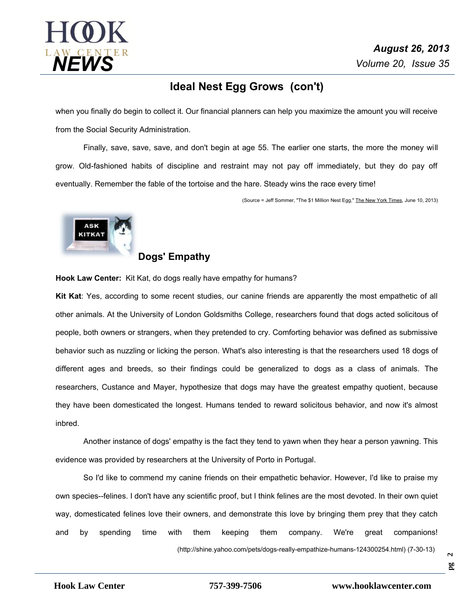

## **Ideal Nest Egg Grows (con't)**

when you finally do begin to collect it. Our financial planners can help you maximize the amount you will receive from the Social Security Administration.

Finally, save, save, save, and don't begin at age 55. The earlier one starts, the more the money will grow. Old-fashioned habits of discipline and restraint may not pay off immediately, but they do pay off eventually. Remember the fable of the tortoise and the hare. Steady wins the race every time!

(Source = Jeff Sommer, "The \$1 Million Nest Egg," The New York Times, June 10, 2013)



### **Dogs' Empathy**

**Hook Law Center:** Kit Kat, do dogs really have empathy for humans?

**Kit Kat**: Yes, according to some recent studies, our canine friends are apparently the most empathetic of all other animals. At the University of London Goldsmiths College, researchers found that dogs acted solicitous of people, both owners or strangers, when they pretended to cry. Comforting behavior was defined as submissive behavior such as nuzzling or licking the person. What's also interesting is that the researchers used 18 dogs of different ages and breeds, so their findings could be generalized to dogs as a class of animals. The researchers, Custance and Mayer, hypothesize that dogs may have the greatest empathy quotient, because they have been domesticated the longest. Humans tended to reward solicitous behavior, and now it's almost inbred.

Another instance of dogs' empathy is the fact they tend to yawn when they hear a person yawning. This evidence was provided by researchers at the University of Porto in Portugal.

So I'd like to commend my canine friends on their empathetic behavior. However, I'd like to praise my own species--felines. I don't have any scientific proof, but I think felines are the most devoted. In their own quiet way, domesticated felines love their owners, and demonstrate this love by bringing them prey that they catch and by spending time with them keeping them company. We're great companions!

(http://shine.yahoo.com/pets/dogs-really-empathize-humans-124300254.html) (7-30-13)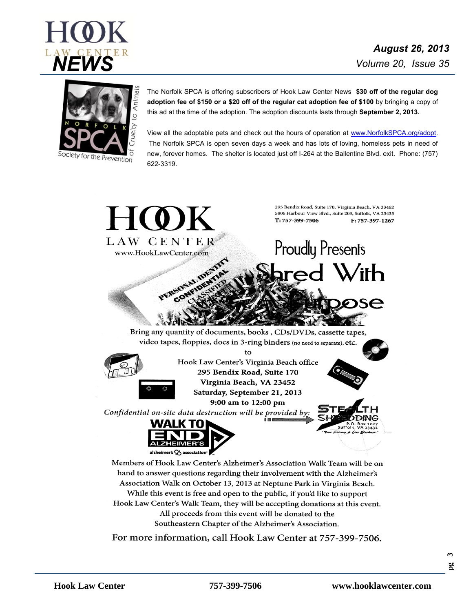



The Norfolk SPCA is offering subscribers of Hook Law Center News **\$30 off of the regular dog adoption fee of \$150 or a \$20 off of the regular cat adoption fee of \$100** by bringing a copy of this ad at the time of the adoption. The adoption discounts lasts through **September 2, 2013.**

View all the adoptable pets and check out the hours of operation at [www.NorfolkSPCA.org/adopt.](http://www.norfolkspca.org/adopt) The Norfolk SPCA is open seven days a week and has lots of loving, homeless pets in need of new, forever homes. The shelter is located just off I-264 at the Ballentine Blvd. exit. Phone: (757) 622-3319.



Association Walk on October 13, 2013 at Neptune Park in Virginia Beach. While this event is free and open to the public, if you'd like to support Hook Law Center's Walk Team, they will be accepting donations at this event. All proceeds from this event will be donated to the Southeastern Chapter of the Alzheimer's Association.

For more information, call Hook Law Center at 757-399-7506.